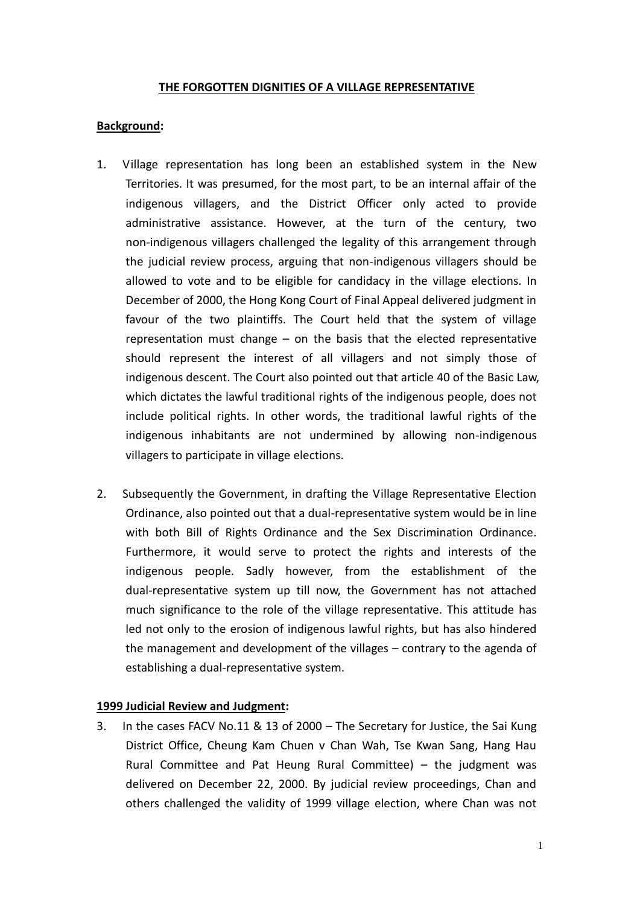### **THE FORGOTTEN DIGNITIES OF A VILLAGE REPRESENTATIVE**

## **Background:**

- 1. Village representation has long been an established system in the New Territories. It was presumed, for the most part, to be an internal affair of the indigenous villagers, and the District Officer only acted to provide administrative assistance. However, at the turn of the century, two non-indigenous villagers challenged the legality of this arrangement through the judicial review process, arguing that non-indigenous villagers should be allowed to vote and to be eligible for candidacy in the village elections. In December of 2000, the Hong Kong Court of Final Appeal delivered judgment in favour of the two plaintiffs. The Court held that the system of village representation must change – on the basis that the elected representative should represent the interest of all villagers and not simply those of indigenous descent. The Court also pointed out that article 40 of the Basic Law, which dictates the lawful traditional rights of the indigenous people, does not include political rights. In other words, the traditional lawful rights of the indigenous inhabitants are not undermined by allowing non-indigenous villagers to participate in village elections.
- 2. Subsequently the Government, in drafting the Village Representative Election Ordinance, also pointed out that a dual-representative system would be in line with both Bill of Rights Ordinance and the Sex Discrimination Ordinance. Furthermore, it would serve to protect the rights and interests of the indigenous people. Sadly however, from the establishment of the dual-representative system up till now, the Government has not attached much significance to the role of the village representative. This attitude has led not only to the erosion of indigenous lawful rights, but has also hindered the management and development of the villages – contrary to the agenda of establishing a dual-representative system.

#### **1999 Judicial Review and Judgment:**

3. In the cases FACV No.11 & 13 of 2000 – The Secretary for Justice, the Sai Kung District Office, Cheung Kam Chuen v Chan Wah, Tse Kwan Sang, Hang Hau Rural Committee and Pat Heung Rural Committee) – the judgment was delivered on December 22, 2000. By judicial review proceedings, Chan and others challenged the validity of 1999 village election, where Chan was not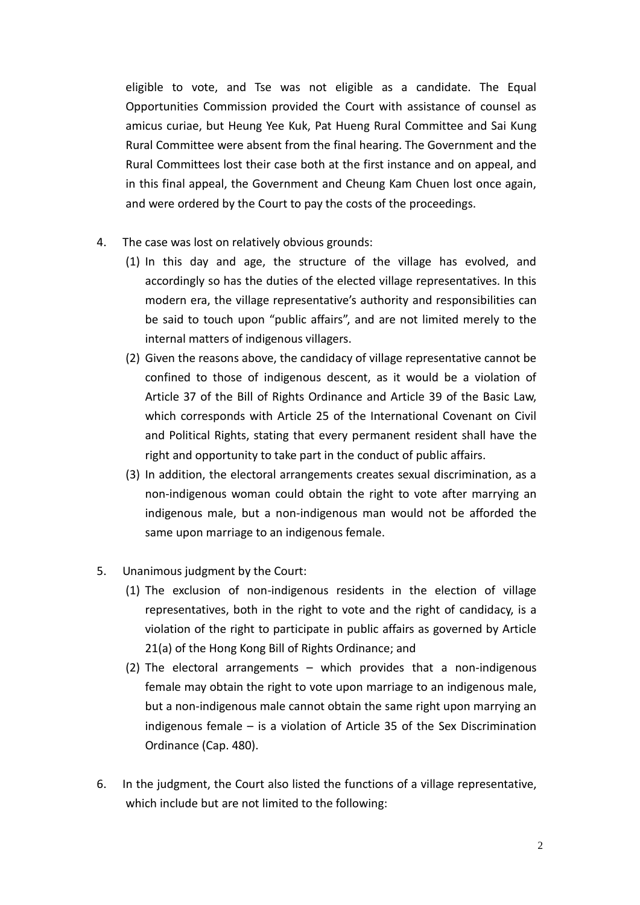eligible to vote, and Tse was not eligible as a candidate. The Equal Opportunities Commission provided the Court with assistance of counsel as amicus curiae, but Heung Yee Kuk, Pat Hueng Rural Committee and Sai Kung Rural Committee were absent from the final hearing. The Government and the Rural Committees lost their case both at the first instance and on appeal, and in this final appeal, the Government and Cheung Kam Chuen lost once again, and were ordered by the Court to pay the costs of the proceedings.

- 4. The case was lost on relatively obvious grounds:
	- (1) In this day and age, the structure of the village has evolved, and accordingly so has the duties of the elected village representatives. In this modern era, the village representative's authority and responsibilities can be said to touch upon "public affairs", and are not limited merely to the internal matters of indigenous villagers.
	- (2) Given the reasons above, the candidacy of village representative cannot be confined to those of indigenous descent, as it would be a violation of Article 37 of the Bill of Rights Ordinance and Article 39 of the Basic Law, which corresponds with Article 25 of the International Covenant on Civil and Political Rights, stating that every permanent resident shall have the right and opportunity to take part in the conduct of public affairs.
	- (3) In addition, the electoral arrangements creates sexual discrimination, as a non-indigenous woman could obtain the right to vote after marrying an indigenous male, but a non-indigenous man would not be afforded the same upon marriage to an indigenous female.
- 5. Unanimous judgment by the Court:
	- (1) The exclusion of non-indigenous residents in the election of village representatives, both in the right to vote and the right of candidacy, is a violation of the right to participate in public affairs as governed by Article 21(a) of the Hong Kong Bill of Rights Ordinance; and
	- (2) The electoral arrangements which provides that a non-indigenous female may obtain the right to vote upon marriage to an indigenous male, but a non-indigenous male cannot obtain the same right upon marrying an indigenous female – is a violation of Article 35 of the Sex Discrimination Ordinance (Cap. 480).
- 6. In the judgment, the Court also listed the functions of a village representative, which include but are not limited to the following: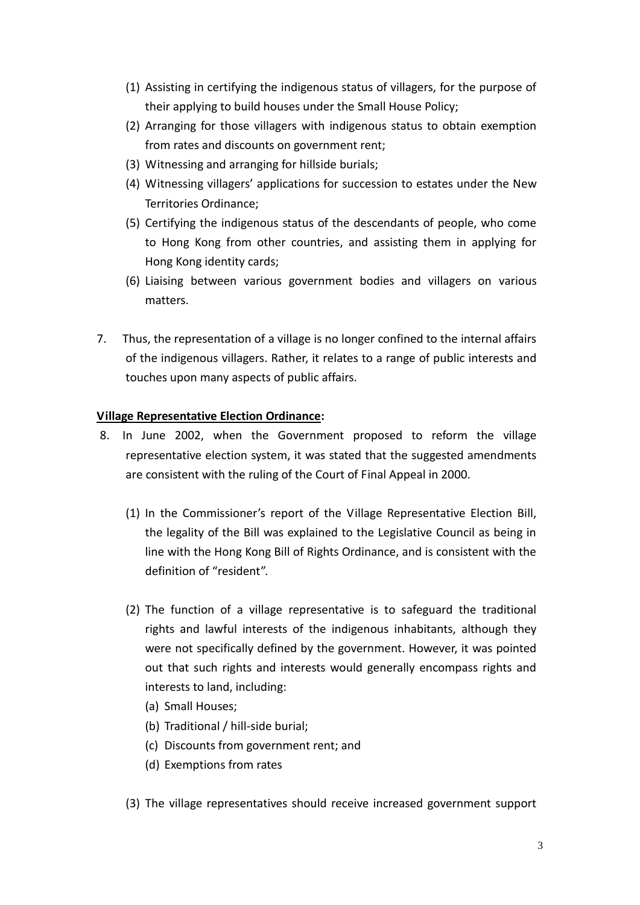- (1) Assisting in certifying the indigenous status of villagers, for the purpose of their applying to build houses under the Small House Policy;
- (2) Arranging for those villagers with indigenous status to obtain exemption from rates and discounts on government rent;
- (3) Witnessing and arranging for hillside burials;
- (4) Witnessing villagers' applications for succession to estates under the New Territories Ordinance;
- (5) Certifying the indigenous status of the descendants of people, who come to Hong Kong from other countries, and assisting them in applying for Hong Kong identity cards;
- (6) Liaising between various government bodies and villagers on various matters.
- 7. Thus, the representation of a village is no longer confined to the internal affairs of the indigenous villagers. Rather, it relates to a range of public interests and touches upon many aspects of public affairs.

## **Village Representative Election Ordinance:**

- 8. In June 2002, when the Government proposed to reform the village representative election system, it was stated that the suggested amendments are consistent with the ruling of the Court of Final Appeal in 2000.
	- (1) In the Commissioner's report of the Village Representative Election Bill, the legality of the Bill was explained to the Legislative Council as being in line with the Hong Kong Bill of Rights Ordinance, and is consistent with the definition of "resident".
	- (2) The function of a village representative is to safeguard the traditional rights and lawful interests of the indigenous inhabitants, although they were not specifically defined by the government. However, it was pointed out that such rights and interests would generally encompass rights and interests to land, including:
		- (a) Small Houses;
		- (b) Traditional / hill-side burial;
		- (c) Discounts from government rent; and
		- (d) Exemptions from rates
	- (3) The village representatives should receive increased government support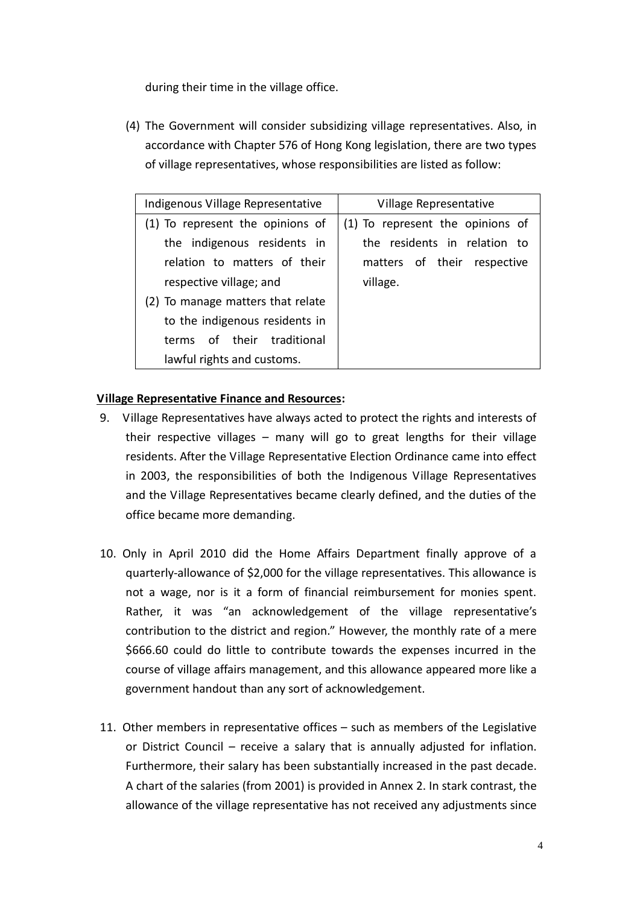during their time in the village office.

(4) The Government will consider subsidizing village representatives. Also, in accordance with Chapter 576 of Hong Kong legislation, there are two types of village representatives, whose responsibilities are listed as follow:

| Indigenous Village Representative | Village Representative           |
|-----------------------------------|----------------------------------|
| To represent the opinions of      | (1) To represent the opinions of |
| the indigenous residents in       | the residents in relation to     |
| relation to matters of their      | matters of their respective      |
| respective village; and           | village.                         |
| To manage matters that relate     |                                  |
| to the indigenous residents in    |                                  |
| terms of their traditional        |                                  |
| lawful rights and customs.        |                                  |

# **Village Representative Finance and Resources:**

- 9. Village Representatives have always acted to protect the rights and interests of their respective villages – many will go to great lengths for their village residents. After the Village Representative Election Ordinance came into effect in 2003, the responsibilities of both the Indigenous Village Representatives and the Village Representatives became clearly defined, and the duties of the office became more demanding.
- 10. Only in April 2010 did the Home Affairs Department finally approve of a quarterly-allowance of \$2,000 for the village representatives. This allowance is not a wage, nor is it a form of financial reimbursement for monies spent. Rather, it was "an acknowledgement of the village representative's contribution to the district and region." However, the monthly rate of a mere \$666.60 could do little to contribute towards the expenses incurred in the course of village affairs management, and this allowance appeared more like a government handout than any sort of acknowledgement.
- 11. Other members in representative offices such as members of the Legislative or District Council – receive a salary that is annually adjusted for inflation. Furthermore, their salary has been substantially increased in the past decade. A chart of the salaries (from 2001) is provided in Annex 2. In stark contrast, the allowance of the village representative has not received any adjustments since